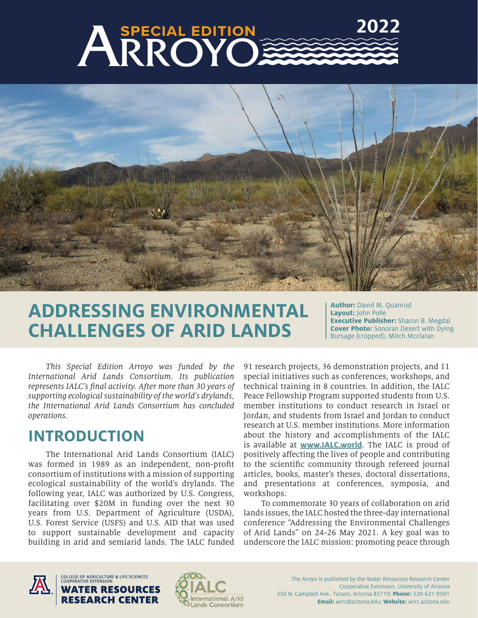# **2022**ARROYO



# **ADDRESSING ENVIRONMENTAL CHALLENGES OF ARID LANDS**

**Author:** David M. Quanrud **Layout:** John Polle **Executive Publisher:** Sharon B. Megdal **Cover Photo:** Sonoran Desert with Dying Bursage (cropped), Mitch Mcclaran

*This Special Edition Arroyo was funded by the International Arid Lands Consortium. Its publication represents IALC's final activity. After more than 30 years of supporting ecological sustainability of the world's drylands, the International Arid Lands Consortium has concluded operations.*

# **INTRODUCTION**

The International Arid Lands Consortium (IALC) was formed in 1989 as an independent, non-profit consortium of institutions with a mission of supporting ecological sustainability of the world's drylands. The following year, IALC was authorized by U.S. Congress, facilitating over \$20M in funding over the next 30 years from U.S. Department of Agriculture (USDA), U.S. Forest Service (USFS) and U.S. AID that was used to support sustainable development and capacity building in arid and semiarid lands. The IALC funded

91 research projects, 36 demonstration projects, and 11 special initiatives such as conferences, workshops, and technical training in 8 countries. In addition, the IALC Peace Fellowship Program supported students from U.S. member institutions to conduct research in Israel or Jordan, and students from Israel and Jordan to conduct research at U.S. member institutions. More information about the history and accomplishments of the IALC is available at **[www.IALC.world](http://www.IALC.world)**. The IALC is proud of positively affecting the lives of people and contributing to the scientific community through refereed journal articles, books, master's theses, doctoral dissertations, and presentations at conferences, symposia, and workshops.

To commemorate 30 years of collaboration on arid lands issues, the IALC hosted the three-day international conference "Addressing the Environmental Challenges of Arid Lands" on 24-26 May 2021. A key goal was to underscore the IALC mission: promoting peace through



COLLEGE OF AGRICULTURE & LIFE SCIENCES<br>COOPERATIVE EXTENSION **ATER RESOURCES** RESEARCH CENTER

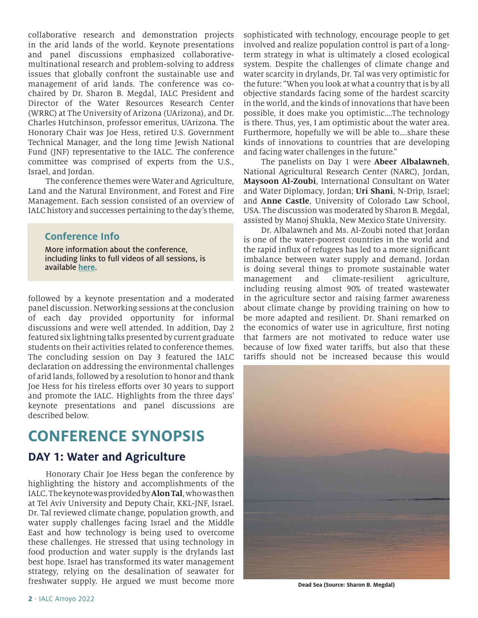collaborative research and demonstration projects in the arid lands of the world. Keynote presentations and panel discussions emphasized collaborativemultinational research and problem-solving to address issues that globally confront the sustainable use and management of arid lands. The conference was cochaired by Dr. Sharon B. Megdal, IALC President and Director of the Water Resources Research Center (WRRC) at The University of Arizona (UArizona), and Dr. Charles Hutchinson, professor emeritus, UArizona. The Honorary Chair was Joe Hess, retired U.S. Government Technical Manager, and the long time Jewish National Fund (JNF) representative to the IALC. The conference committee was comprised of experts from the U.S., Israel, and Jordan.

The conference themes were Water and Agriculture, Land and the Natural Environment, and Forest and Fire Management. Each session consisted of an overview of IALC history and successes pertaining to the day's theme,

### **Conference Info**

More information about the conference, including links to full videos of all sessions, is available **[here](https://ialc.world/conference/addressing-the-environmental-challenges-of-arid-lands)**.

followed by a keynote presentation and a moderated panel discussion. Networking sessions at the conclusion of each day provided opportunity for informal discussions and were well attended. In addition, Day 2 featured six lightning talks presented by current graduate students on their activities related to conference themes. The concluding session on Day 3 featured the IALC declaration on addressing the environmental challenges of arid lands, followed by a resolution to honor and thank Joe Hess for his tireless efforts over 30 years to support and promote the IALC. Highlights from the three days' keynote presentations and panel discussions are described below.

# **CONFERENCE SYNOPSIS**

### **DAY 1: Water and Agriculture**

Honorary Chair Joe Hess began the conference by highlighting the history and accomplishments of the IALC. The keynote was provided by **Alon Tal**, who was then at Tel Aviv University and Deputy Chair, KKL-JNF, Israel. Dr. Tal reviewed climate change, population growth, and water supply challenges facing Israel and the Middle East and how technology is being used to overcome these challenges. He stressed that using technology in food production and water supply is the drylands last best hope. Israel has transformed its water management strategy, relying on the desalination of seawater for freshwater supply. He argued we must become more

sophisticated with technology, encourage people to get involved and realize population control is part of a longterm strategy in what is ultimately a closed ecological system. Despite the challenges of climate change and water scarcity in drylands, Dr. Tal was very optimistic for the future: "When you look at what a country that is by all objective standards facing some of the hardest scarcity in the world, and the kinds of innovations that have been possible, it does make you optimistic….The technology is there. Thus, yes, I am optimistic about the water area. Furthermore, hopefully we will be able to….share these kinds of innovations to countries that are developing and facing water challenges in the future."

The panelists on Day 1 were **Abeer Albalawneh**, National Agricultural Research Center (NARC), Jordan, **Maysoon Al-Zoubi**, International Consultant on Water and Water Diplomacy, Jordan; **Uri Shani**, N-Drip, Israel; and **Anne Castle**, University of Colorado Law School, USA. The discussion was moderated by Sharon B. Megdal, assisted by Manoj Shukla, New Mexico State University.

Dr. Albalawneh and Ms. Al-Zoubi noted that Jordan is one of the water-poorest countries in the world and the rapid influx of refugees has led to a more significant imbalance between water supply and demand. Jordan is doing several things to promote sustainable water management and climate-resilient agriculture, including reusing almost 90% of treated wastewater in the agriculture sector and raising farmer awareness about climate change by providing training on how to be more adapted and resilient. Dr. Shani remarked on the economics of water use in agriculture, first noting that farmers are not motivated to reduce water use because of low fixed water tariffs, but also that these tariffs should not be increased because this would



**Dead Sea (Source: Sharon B. Megdal)**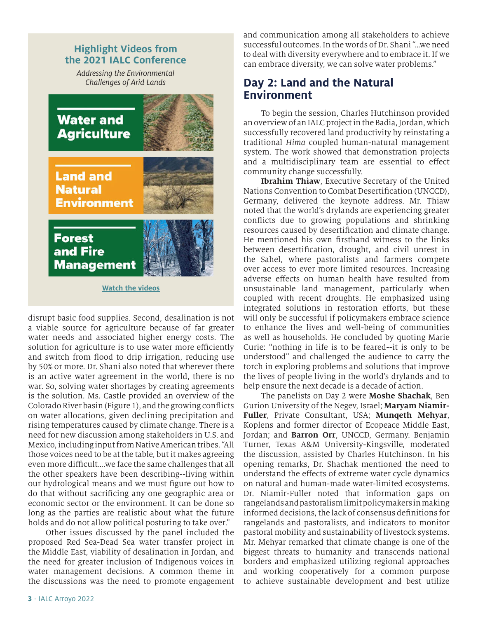### **Highlight Videos from the 2021 IALC Conference**

*Addressing the Environmental Challenges of Arid Lands*



disrupt basic food supplies. Second, desalination is not a viable source for agriculture because of far greater water needs and associated higher energy costs. The solution for agriculture is to use water more efficiently and switch from flood to drip irrigation, reducing use by 50% or more. Dr. Shani also noted that wherever there is an active water agreement in the world, there is no war. So, solving water shortages by creating agreements is the solution. Ms. Castle provided an overview of the Colorado River basin (Figure 1), and the growing conflicts on water allocations, given declining precipitation and rising temperatures caused by climate change. There is a need for new discussion among stakeholders in U.S. and Mexico, including input from Native American tribes. "All those voices need to be at the table, but it makes agreeing even more difficult….we face the same challenges that all the other speakers have been describing--living within our hydrological means and we must figure out how to do that without sacrificing any one geographic area or economic sector or the environment. It can be done so long as the parties are realistic about what the future holds and do not allow political posturing to take over."

Other issues discussed by the panel included the proposed Red Sea-Dead Sea water transfer project in the Middle East, viability of desalination in Jordan, and the need for greater inclusion of Indigenous voices in water management decisions. A common theme in the discussions was the need to promote engagement and communication among all stakeholders to achieve successful outcomes. In the words of Dr. Shani "…we need to deal with diversity everywhere and to embrace it. If we can embrace diversity, we can solve water problems."

## **Day 2: Land and the Natural Environment**

To begin the session, Charles Hutchinson provided an overview of an IALC project in the Badia, Jordan, which successfully recovered land productivity by reinstating a traditional *Hima* coupled human-natural management system. The work showed that demonstration projects and a multidisciplinary team are essential to effect community change successfully.

**Ibrahim Thiaw**, Executive Secretary of the United Nations Convention to Combat Desertification (UNCCD), Germany, delivered the keynote address. Mr. Thiaw noted that the world's drylands are experiencing greater conflicts due to growing populations and shrinking resources caused by desertification and climate change. He mentioned his own firsthand witness to the links between desertification, drought, and civil unrest in the Sahel, where pastoralists and farmers compete over access to ever more limited resources. Increasing adverse effects on human health have resulted from unsustainable land management, particularly when coupled with recent droughts. He emphasized using integrated solutions in restoration efforts, but these will only be successful if policymakers embrace science to enhance the lives and well-being of communities as well as households. He concluded by quoting Marie Curie: "nothing in life is to be feared--it is only to be understood" and challenged the audience to carry the torch in exploring problems and solutions that improve the lives of people living in the world's drylands and to help ensure the next decade is a decade of action.

The panelists on Day 2 were **Moshe Shachak**, Ben Gurion University of the Negev, Israel; **Maryam Niamir-Fuller**, Private Consultant, USA; **Munqeth Mehyar**, Koplens and former director of Ecopeace Middle East, Jordan; and **Barron Orr**, UNCCD, Germany. Benjamin Turner, Texas A&M University-Kingsville, moderated the discussion, assisted by Charles Hutchinson. In his opening remarks, Dr. Shachak mentioned the need to understand the effects of extreme water cycle dynamics on natural and human-made water-limited ecosystems. Dr. Niamir-Fuller noted that information gaps on rangelands and pastoralism limit policymakers in making informed decisions, the lack of consensus definitions for rangelands and pastoralists, and indicators to monitor pastoral mobility and sustainability of livestock systems. Mr. Mehyar remarked that climate change is one of the biggest threats to humanity and transcends national borders and emphasized utilizing regional approaches and working cooperatively for a common purpose to achieve sustainable development and best utilize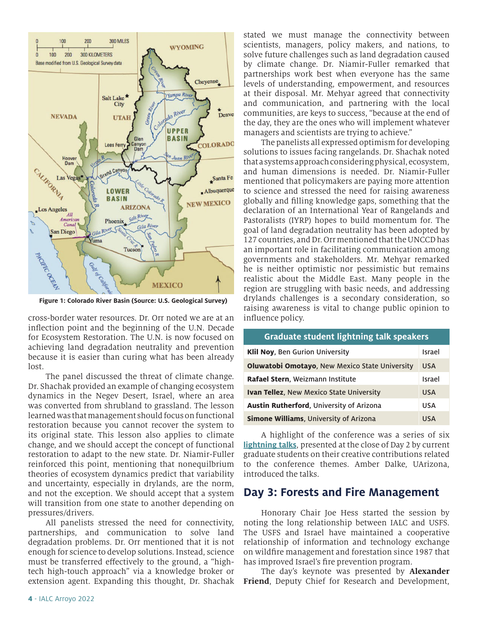

**Figure 1: Colorado River Basin (Source: U.S. Geological Survey)**

cross-border water resources. Dr. Orr noted we are at an inflection point and the beginning of the U.N. Decade for Ecosystem Restoration. The U.N. is now focused on achieving land degradation neutrality and prevention because it is easier than curing what has been already lost.

The panel discussed the threat of climate change. Dr. Shachak provided an example of changing ecosystem dynamics in the Negev Desert, Israel, where an area was converted from shrubland to grassland. The lesson learned was that management should focus on functional restoration because you cannot recover the system to its original state. This lesson also applies to climate change, and we should accept the concept of functional restoration to adapt to the new state. Dr. Niamir-Fuller reinforced this point, mentioning that nonequilbrium theories of ecosystem dynamics predict that variability and uncertainty, especially in drylands, are the norm, and not the exception. We should accept that a system will transition from one state to another depending on pressures/drivers.

All panelists stressed the need for connectivity, partnerships, and communication to solve land degradation problems. Dr. Orr mentioned that it is not enough for science to develop solutions. Instead, science must be transferred effectively to the ground, a "hightech high-touch approach" via a knowledge broker or extension agent. Expanding this thought, Dr. Shachak stated we must manage the connectivity between scientists, managers, policy makers, and nations, to solve future challenges such as land degradation caused by climate change. Dr. Niamir-Fuller remarked that partnerships work best when everyone has the same levels of understanding, empowerment, and resources at their disposal. Mr. Mehyar agreed that connectivity and communication, and partnering with the local communities, are keys to success, "because at the end of the day, they are the ones who will implement whatever managers and scientists are trying to achieve."

The panelists all expressed optimism for developing solutions to issues facing rangelands. Dr. Shachak noted that a systems approach considering physical, ecosystem, and human dimensions is needed. Dr. Niamir-Fuller mentioned that policymakers are paying more attention to science and stressed the need for raising awareness globally and filling knowledge gaps, something that the declaration of an International Year of Rangelands and Pastoralists (IYRP) hopes to build momentum for. The goal of land degradation neutrality has been adopted by 127 countries, and Dr. Orr mentioned that the UNCCD has an important role in facilitating communication among governments and stakeholders. Mr. Mehyar remarked he is neither optimistic nor pessimistic but remains realistic about the Middle East. Many people in the region are struggling with basic needs, and addressing drylands challenges is a secondary consideration, so raising awareness is vital to change public opinion to influence policy.

| <b>Graduate student lightning talk speakers</b> |            |
|-------------------------------------------------|------------|
| <b>Klil Noy, Ben Gurion University</b>          | Israel     |
| Oluwatobi Omotayo, New Mexico State University  | <b>USA</b> |
| Rafael Stern, Weizmann Institute                | Israel     |
| <b>Ivan Tellez, New Mexico State University</b> | <b>USA</b> |
| Austin Rutherford, University of Arizona        | <b>USA</b> |
| <b>Simone Williams, University of Arizona</b>   | <b>USA</b> |

A highlight of the conference was a series of [six](https://ialc.world/conference/student-lightning-talk-videos) **[lightning talks](https://ialc.world/conference/student-lightning-talk-videos)**, presented at the close of Day 2 by current graduate students on their creative contributions related to the conference themes. Amber Dalke, UArizona, introduced the talks.

### **Day 3: Forests and Fire Management**

Honorary Chair Joe Hess started the session by noting the long relationship between IALC and USFS. The USFS and Israel have maintained a cooperative relationship of information and technology exchange on wildfire management and forestation since 1987 that has improved Israel's fire prevention program.

The day's keynote was presented by **Alexander Friend**, Deputy Chief for Research and Development,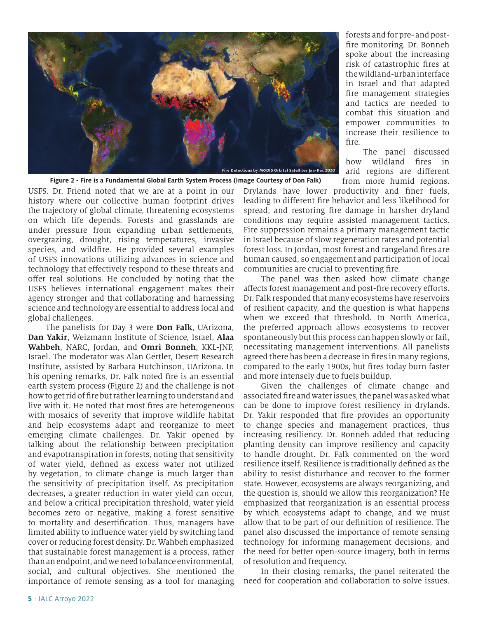

USFS. Dr. Friend noted that we are at a point in our history where our collective human footprint drives the trajectory of global climate, threatening ecosystems on which life depends. Forests and grasslands are under pressure from expanding urban settlements, overgrazing, drought, rising temperatures, invasive species, and wildfire. He provided several examples of USFS innovations utilizing advances in science and technology that effectively respond to these threats and offer real solutions. He concluded by noting that the USFS believes international engagement makes their agency stronger and that collaborating and harnessing science and technology are essential to address local and global challenges. **Figure 2 - Fire is a Fundamental Global Earth System Process (Image Courtesy of Don Falk)** 

The panelists for Day 3 were **Don Falk**, UArizona, **Dan Yakir**, Weizmann Institute of Science, Israel, **Alaa Wahbeh**, NARC, Jordan, and **Omri Bonneh**, KKL-JNF, Israel. The moderator was Alan Gertler, Desert Research Institute, assisted by Barbara Hutchinson, UArizona. In his opening remarks, Dr. Falk noted fire is an essential earth system process (Figure 2) and the challenge is not how to get rid of fire but rather learning to understand and live with it. He noted that most fires are heterogeneous with mosaics of severity that improve wildlife habitat and help ecosystems adapt and reorganize to meet emerging climate challenges. Dr. Yakir opened by talking about the relationship between precipitation and evapotranspiration in forests, noting that sensitivity of water yield, defined as excess water not utilized by vegetation, to climate change is much larger than the sensitivity of precipitation itself. As precipitation decreases, a greater reduction in water yield can occur, and below a critical precipitation threshold, water yield becomes zero or negative, making a forest sensitive to mortality and desertification. Thus, managers have limited ability to influence water yield by switching land cover or reducing forest density. Dr. Wahbeh emphasized that sustainable forest management is a process, rather than an endpoint, and we need to balance environmental, social, and cultural objectives. She mentioned the importance of remote sensing as a tool for managing

forests and for pre- and postfire monitoring. Dr. Bonneh spoke about the increasing risk of catastrophic fires at the wildland-urban interface in Israel and that adapted fire management strategies and tactics are needed to combat this situation and empower communities to increase their resilience to fire.

The panel discussed how wildland fires in arid regions are different from more humid regions.

Drylands have lower productivity and finer fuels, leading to different fire behavior and less likelihood for spread, and restoring fire damage in harsher dryland conditions may require assisted management tactics. Fire suppression remains a primary management tactic in Israel because of slow regeneration rates and potential forest loss. In Jordan, most forest and rangeland fires are human caused, so engagement and participation of local communities are crucial to preventing fire.

The panel was then asked how climate change affects forest management and post-fire recovery efforts. Dr. Falk responded that many ecosystems have reservoirs of resilient capacity, and the question is what happens when we exceed that threshold. In North America, the preferred approach allows ecosystems to recover spontaneously but this process can happen slowly or fail, necessitating management interventions. All panelists agreed there has been a decrease in fires in many regions, compared to the early 1900s, but fires today burn faster and more intensely due to fuels buildup.

Given the challenges of climate change and associated fire and water issues, the panel was asked what can be done to improve forest resiliency in drylands. Dr. Yakir responded that fire provides an opportunity to change species and management practices, thus increasing resiliency. Dr. Bonneh added that reducing planting density can improve resiliency and capacity to handle drought. Dr. Falk commented on the word resilience itself. Resilience is traditionally defined as the ability to resist disturbance and recover to the former state. However, ecosystems are always reorganizing, and the question is, should we allow this reorganization? He emphasized that reorganization is an essential process by which ecosystems adapt to change, and we must allow that to be part of our definition of resilience. The panel also discussed the importance of remote sensing technology for informing management decisions, and the need for better open-source imagery, both in terms of resolution and frequency.

In their closing remarks, the panel reiterated the need for cooperation and collaboration to solve issues.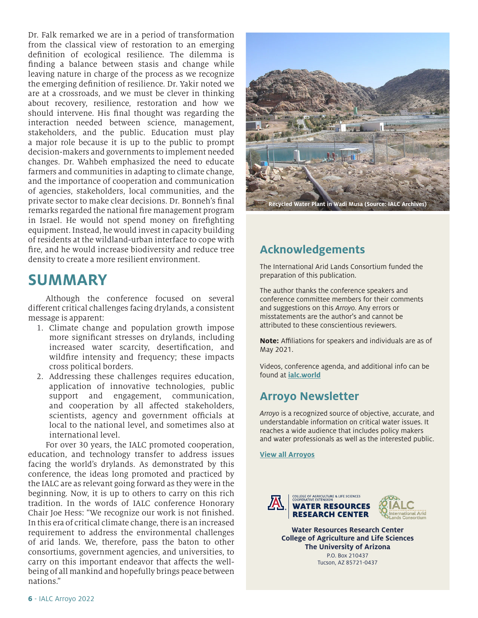Dr. Falk remarked we are in a period of transformation from the classical view of restoration to an emerging definition of ecological resilience. The dilemma is finding a balance between stasis and change while leaving nature in charge of the process as we recognize the emerging definition of resilience. Dr. Yakir noted we are at a crossroads, and we must be clever in thinking about recovery, resilience, restoration and how we should intervene. His final thought was regarding the interaction needed between science, management, stakeholders, and the public. Education must play a major role because it is up to the public to prompt decision-makers and governments to implement needed changes. Dr. Wahbeh emphasized the need to educate farmers and communities in adapting to climate change, and the importance of cooperation and communication of agencies, stakeholders, local communities, and the private sector to make clear decisions. Dr. Bonneh's final remarks regarded the national fire management program in Israel. He would not spend money on firefighting equipment. Instead, he would invest in capacity building of residents at the wildland-urban interface to cope with fire, and he would increase biodiversity and reduce tree density to create a more resilient environment.

# **SUMMARY**

Although the conference focused on several different critical challenges facing drylands, a consistent message is apparent:

- 1. Climate change and population growth impose more significant stresses on drylands, including increased water scarcity, desertification, and wildfire intensity and frequency; these impacts cross political borders.
- 2. Addressing these challenges requires education, application of innovative technologies, public support and engagement, communication, and cooperation by all affected stakeholders, scientists, agency and government officials at local to the national level, and sometimes also at international level.

For over 30 years, the IALC promoted cooperation, education, and technology transfer to address issues facing the world's drylands. As demonstrated by this conference, the ideas long promoted and practiced by the IALC are as relevant going forward as they were in the beginning. Now, it is up to others to carry on this rich tradition. In the words of IALC conference Honorary Chair Joe Hess: "We recognize our work is not finished. In this era of critical climate change, there is an increased requirement to address the environmental challenges of arid lands. We, therefore, pass the baton to other consortiums, government agencies, and universities, to carry on this important endeavor that affects the wellbeing of all mankind and hopefully brings peace between nations."



**Recycled Water Plant in Wadi Musa (Source: IALC Archives)**

# **Acknowledgements**

The International Arid Lands Consortium funded the preparation of this publication.

The author thanks the conference speakers and conference committee members for their comments and suggestions on this *Arroyo.* Any errors or misstatements are the author's and cannot be attributed to these conscientious reviewers.

**Note:** Affiliations for speakers and individuals are as of May 2021.

Videos, conference agenda, and additional info can be found at **[ialc.world](https://ialc.world/)**

# **Arroyo Newsletter**

*Arroyo* is a recognized source of objective, accurate, and understandable information on critical water issues. It reaches a wide audience that includes policy makers and water professionals as well as the interested public.

**[View all Arroyos](https://wrrc.arizona.edu/publications/arroyo)**



**Water Resources Research Center College of Agriculture and Life Sciences The University of Arizona** P.O. Box 210437 Tucson, AZ 85721-0437